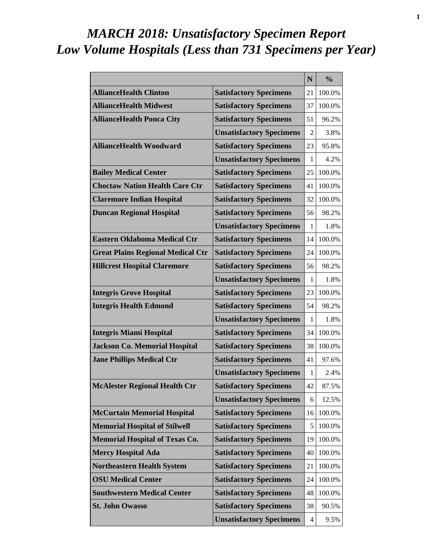# *MARCH 2018: Unsatisfactory Specimen Report Low Volume Hospitals (Less than 731 Specimens per Year)*

|                                          |                                 | N              | $\frac{0}{0}$ |
|------------------------------------------|---------------------------------|----------------|---------------|
| <b>AllianceHealth Clinton</b>            | <b>Satisfactory Specimens</b>   | 21             | 100.0%        |
| <b>AllianceHealth Midwest</b>            | <b>Satisfactory Specimens</b>   | 37             | 100.0%        |
| <b>AllianceHealth Ponca City</b>         | <b>Satisfactory Specimens</b>   | 51             | 96.2%         |
|                                          | <b>Unsatisfactory Specimens</b> | $\overline{2}$ | 3.8%          |
| <b>AllianceHealth Woodward</b>           | <b>Satisfactory Specimens</b>   | 23             | 95.8%         |
|                                          | <b>Unsatisfactory Specimens</b> | 1              | 4.2%          |
| <b>Bailey Medical Center</b>             | <b>Satisfactory Specimens</b>   | 25             | 100.0%        |
| <b>Choctaw Nation Health Care Ctr</b>    | <b>Satisfactory Specimens</b>   | 41             | 100.0%        |
| <b>Claremore Indian Hospital</b>         | <b>Satisfactory Specimens</b>   | 32             | 100.0%        |
| <b>Duncan Regional Hospital</b>          | <b>Satisfactory Specimens</b>   | 56             | 98.2%         |
|                                          | <b>Unsatisfactory Specimens</b> | 1              | 1.8%          |
| <b>Eastern Oklahoma Medical Ctr</b>      | <b>Satisfactory Specimens</b>   | 14             | 100.0%        |
| <b>Great Plains Regional Medical Ctr</b> | <b>Satisfactory Specimens</b>   | 24             | 100.0%        |
| <b>Hillcrest Hospital Claremore</b>      | <b>Satisfactory Specimens</b>   | 56             | 98.2%         |
|                                          | <b>Unsatisfactory Specimens</b> | 1              | 1.8%          |
| <b>Integris Grove Hospital</b>           | <b>Satisfactory Specimens</b>   | 23             | 100.0%        |
| <b>Integris Health Edmond</b>            | <b>Satisfactory Specimens</b>   | 54             | 98.2%         |
|                                          | <b>Unsatisfactory Specimens</b> | 1              | 1.8%          |
| <b>Integris Miami Hospital</b>           | <b>Satisfactory Specimens</b>   | 34             | 100.0%        |
| <b>Jackson Co. Memorial Hospital</b>     | <b>Satisfactory Specimens</b>   | 38             | 100.0%        |
| <b>Jane Phillips Medical Ctr</b>         | <b>Satisfactory Specimens</b>   | 41             | 97.6%         |
|                                          | <b>Unsatisfactory Specimens</b> | 1              | 2.4%          |
| <b>McAlester Regional Health Ctr</b>     | <b>Satisfactory Specimens</b>   | 42             | 87.5%         |
|                                          | <b>Unsatisfactory Specimens</b> | 6              | 12.5%         |
| <b>McCurtain Memorial Hospital</b>       | <b>Satisfactory Specimens</b>   | 16             | 100.0%        |
| <b>Memorial Hospital of Stilwell</b>     | <b>Satisfactory Specimens</b>   | 5              | 100.0%        |
| <b>Memorial Hospital of Texas Co.</b>    | <b>Satisfactory Specimens</b>   | 19             | 100.0%        |
| <b>Mercy Hospital Ada</b>                | <b>Satisfactory Specimens</b>   | 40             | 100.0%        |
| <b>Northeastern Health System</b>        | <b>Satisfactory Specimens</b>   | 21             | 100.0%        |
| <b>OSU Medical Center</b>                | <b>Satisfactory Specimens</b>   | 24             | 100.0%        |
| <b>Southwestern Medical Center</b>       | <b>Satisfactory Specimens</b>   | 48             | 100.0%        |
| <b>St. John Owasso</b>                   | <b>Satisfactory Specimens</b>   | 38             | 90.5%         |
|                                          | <b>Unsatisfactory Specimens</b> | 4              | 9.5%          |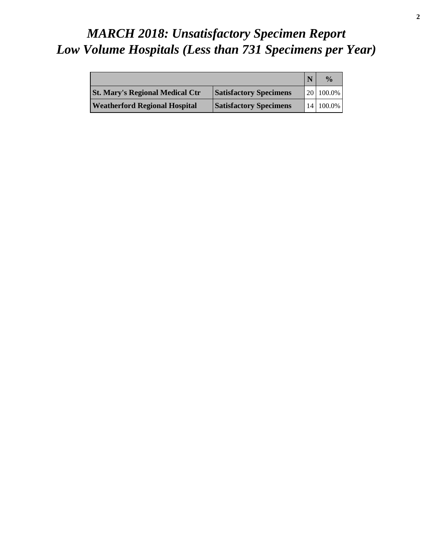# *MARCH 2018: Unsatisfactory Specimen Report Low Volume Hospitals (Less than 731 Specimens per Year)*

|                                        |                               | $\frac{0}{\alpha}$ |
|----------------------------------------|-------------------------------|--------------------|
| <b>St. Mary's Regional Medical Ctr</b> | <b>Satisfactory Specimens</b> | 20 100.0%          |
| <b>Weatherford Regional Hospital</b>   | <b>Satisfactory Specimens</b> | 14 100.0%          |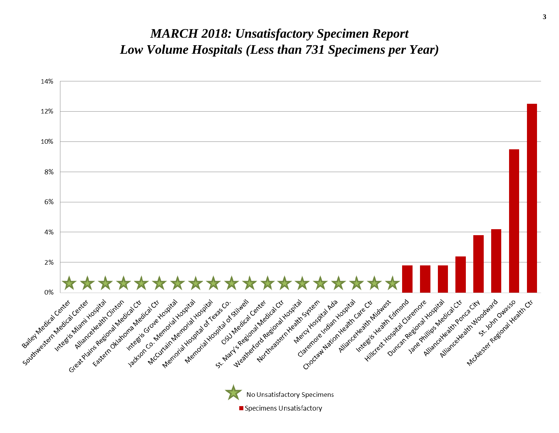#### *MARCH 2018: Unsatisfactory Specimen Report Low Volume Hospitals (Less than 731 Specimens per Year)*

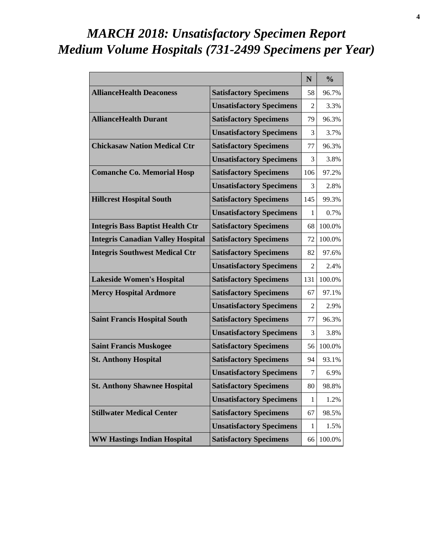# *MARCH 2018: Unsatisfactory Specimen Report Medium Volume Hospitals (731-2499 Specimens per Year)*

|                                          |                                 | N   | $\frac{0}{0}$ |
|------------------------------------------|---------------------------------|-----|---------------|
| <b>AllianceHealth Deaconess</b>          | <b>Satisfactory Specimens</b>   | 58  | 96.7%         |
|                                          | <b>Unsatisfactory Specimens</b> | 2   | 3.3%          |
| <b>AllianceHealth Durant</b>             | <b>Satisfactory Specimens</b>   | 79  | 96.3%         |
|                                          | <b>Unsatisfactory Specimens</b> | 3   | 3.7%          |
| <b>Chickasaw Nation Medical Ctr</b>      | <b>Satisfactory Specimens</b>   | 77  | 96.3%         |
|                                          | <b>Unsatisfactory Specimens</b> | 3   | 3.8%          |
| <b>Comanche Co. Memorial Hosp</b>        | <b>Satisfactory Specimens</b>   | 106 | 97.2%         |
|                                          | <b>Unsatisfactory Specimens</b> | 3   | 2.8%          |
| <b>Hillcrest Hospital South</b>          | <b>Satisfactory Specimens</b>   | 145 | 99.3%         |
|                                          | <b>Unsatisfactory Specimens</b> | 1   | 0.7%          |
| <b>Integris Bass Baptist Health Ctr</b>  | <b>Satisfactory Specimens</b>   | 68  | 100.0%        |
| <b>Integris Canadian Valley Hospital</b> | <b>Satisfactory Specimens</b>   | 72  | 100.0%        |
| <b>Integris Southwest Medical Ctr</b>    | <b>Satisfactory Specimens</b>   | 82  | 97.6%         |
|                                          | <b>Unsatisfactory Specimens</b> | 2   | 2.4%          |
| <b>Lakeside Women's Hospital</b>         | <b>Satisfactory Specimens</b>   | 131 | 100.0%        |
| <b>Mercy Hospital Ardmore</b>            | <b>Satisfactory Specimens</b>   | 67  | 97.1%         |
|                                          | <b>Unsatisfactory Specimens</b> | 2   | 2.9%          |
| <b>Saint Francis Hospital South</b>      | <b>Satisfactory Specimens</b>   | 77  | 96.3%         |
|                                          | <b>Unsatisfactory Specimens</b> | 3   | 3.8%          |
| <b>Saint Francis Muskogee</b>            | <b>Satisfactory Specimens</b>   | 56  | 100.0%        |
| <b>St. Anthony Hospital</b>              | <b>Satisfactory Specimens</b>   | 94  | 93.1%         |
|                                          | <b>Unsatisfactory Specimens</b> | 7   | 6.9%          |
| <b>St. Anthony Shawnee Hospital</b>      | <b>Satisfactory Specimens</b>   | 80  | 98.8%         |
|                                          | <b>Unsatisfactory Specimens</b> | 1   | 1.2%          |
| <b>Stillwater Medical Center</b>         | <b>Satisfactory Specimens</b>   | 67  | 98.5%         |
|                                          | <b>Unsatisfactory Specimens</b> | 1   | 1.5%          |
| <b>WW Hastings Indian Hospital</b>       | <b>Satisfactory Specimens</b>   | 66  | 100.0%        |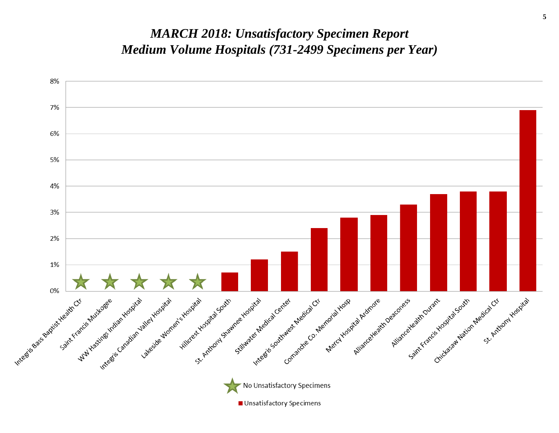#### *MARCH 2018: Unsatisfactory Specimen Report Medium Volume Hospitals (731-2499 Specimens per Year)*

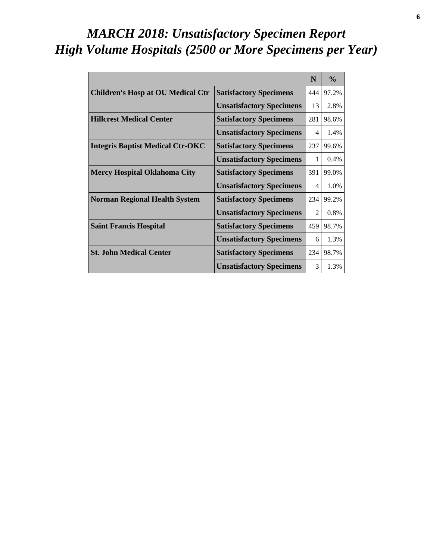# *MARCH 2018: Unsatisfactory Specimen Report High Volume Hospitals (2500 or More Specimens per Year)*

|                                          |                                 | N   | $\frac{0}{0}$ |
|------------------------------------------|---------------------------------|-----|---------------|
| <b>Children's Hosp at OU Medical Ctr</b> | <b>Satisfactory Specimens</b>   | 444 | 97.2%         |
|                                          | <b>Unsatisfactory Specimens</b> | 13  | 2.8%          |
| <b>Hillcrest Medical Center</b>          | <b>Satisfactory Specimens</b>   | 281 | 98.6%         |
|                                          | <b>Unsatisfactory Specimens</b> | 4   | 1.4%          |
| <b>Integris Baptist Medical Ctr-OKC</b>  | <b>Satisfactory Specimens</b>   | 237 | 99.6%         |
|                                          | <b>Unsatisfactory Specimens</b> | 1   | 0.4%          |
| <b>Mercy Hospital Oklahoma City</b>      | <b>Satisfactory Specimens</b>   | 391 | 99.0%         |
|                                          | <b>Unsatisfactory Specimens</b> | 4   | 1.0%          |
| <b>Norman Regional Health System</b>     | <b>Satisfactory Specimens</b>   | 234 | 99.2%         |
|                                          | <b>Unsatisfactory Specimens</b> | 2   | 0.8%          |
| <b>Saint Francis Hospital</b>            | <b>Satisfactory Specimens</b>   | 459 | 98.7%         |
|                                          | <b>Unsatisfactory Specimens</b> | 6   | 1.3%          |
| <b>St. John Medical Center</b>           | <b>Satisfactory Specimens</b>   | 234 | 98.7%         |
|                                          | <b>Unsatisfactory Specimens</b> | 3   | 1.3%          |